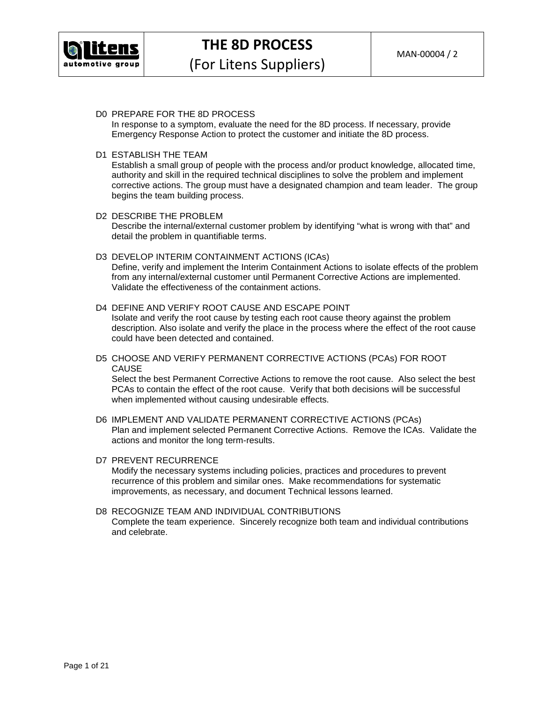

## D0 PREPARE FOR THE 8D PROCESS

In response to a symptom, evaluate the need for the 8D process. If necessary, provide Emergency Response Action to protect the customer and initiate the 8D process.

#### D1 ESTABLISH THE TEAM

Establish a small group of people with the process and/or product knowledge, allocated time, authority and skill in the required technical disciplines to solve the problem and implement corrective actions. The group must have a designated champion and team leader. The group begins the team building process.

- D2 DESCRIBE THE PROBLEM Describe the internal/external customer problem by identifying "what is wrong with that" and detail the problem in quantifiable terms.
- D3 DEVELOP INTERIM CONTAINMENT ACTIONS (ICAs)

Define, verify and implement the Interim Containment Actions to isolate effects of the problem from any internal/external customer until Permanent Corrective Actions are implemented. Validate the effectiveness of the containment actions.

## D4 DEFINE AND VERIFY ROOT CAUSE AND ESCAPE POINT

Isolate and verify the root cause by testing each root cause theory against the problem description. Also isolate and verify the place in the process where the effect of the root cause could have been detected and contained.

D5 CHOOSE AND VERIFY PERMANENT CORRECTIVE ACTIONS (PCAs) FOR ROOT CAUSE

Select the best Permanent Corrective Actions to remove the root cause. Also select the best PCAs to contain the effect of the root cause. Verify that both decisions will be successful when implemented without causing undesirable effects.

D6 IMPLEMENT AND VALIDATE PERMANENT CORRECTIVE ACTIONS (PCAs) Plan and implement selected Permanent Corrective Actions. Remove the ICAs. Validate the actions and monitor the long term-results.

#### D7 PREVENT RECURRENCE

Modify the necessary systems including policies, practices and procedures to prevent recurrence of this problem and similar ones. Make recommendations for systematic improvements, as necessary, and document Technical lessons learned.

## D8 RECOGNIZE TEAM AND INDIVIDUAL CONTRIBUTIONS Complete the team experience. Sincerely recognize both team and individual contributions and celebrate.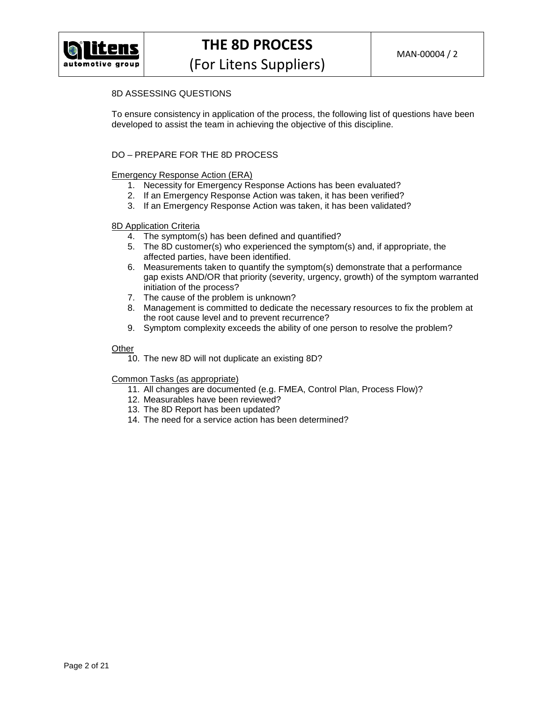

# 8D ASSESSING QUESTIONS

To ensure consistency in application of the process, the following list of questions have been developed to assist the team in achieving the objective of this discipline.

## DO – PREPARE FOR THE 8D PROCESS

## Emergency Response Action (ERA)

- 1. Necessity for Emergency Response Actions has been evaluated?
- 2. If an Emergency Response Action was taken, it has been verified?
- 3. If an Emergency Response Action was taken, it has been validated?

#### 8D Application Criteria

- 4. The symptom(s) has been defined and quantified?
- 5. The 8D customer(s) who experienced the symptom(s) and, if appropriate, the affected parties, have been identified.
- 6. Measurements taken to quantify the symptom(s) demonstrate that a performance gap exists AND/OR that priority (severity, urgency, growth) of the symptom warranted initiation of the process?
- 7. The cause of the problem is unknown?
- 8. Management is committed to dedicate the necessary resources to fix the problem at the root cause level and to prevent recurrence?
- 9. Symptom complexity exceeds the ability of one person to resolve the problem?

#### **Other**

10. The new 8D will not duplicate an existing 8D?

- 11. All changes are documented (e.g. FMEA, Control Plan, Process Flow)?
- 12. Measurables have been reviewed?
- 13. The 8D Report has been updated?
- 14. The need for a service action has been determined?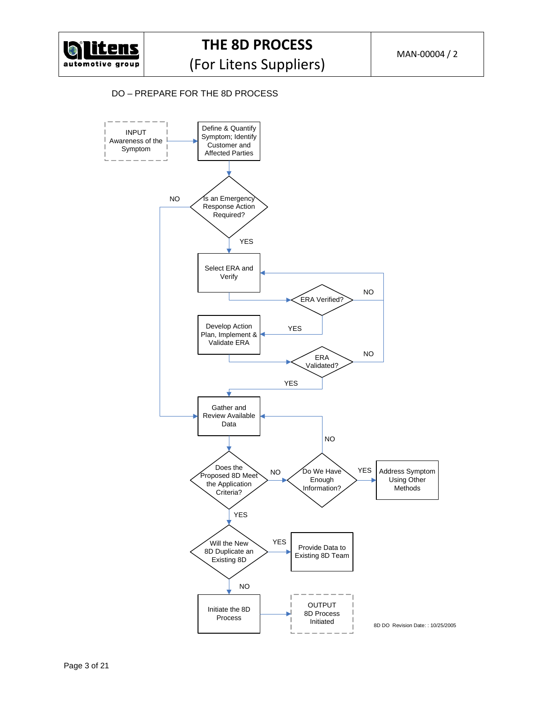

## DO – PREPARE FOR THE 8D PROCESS

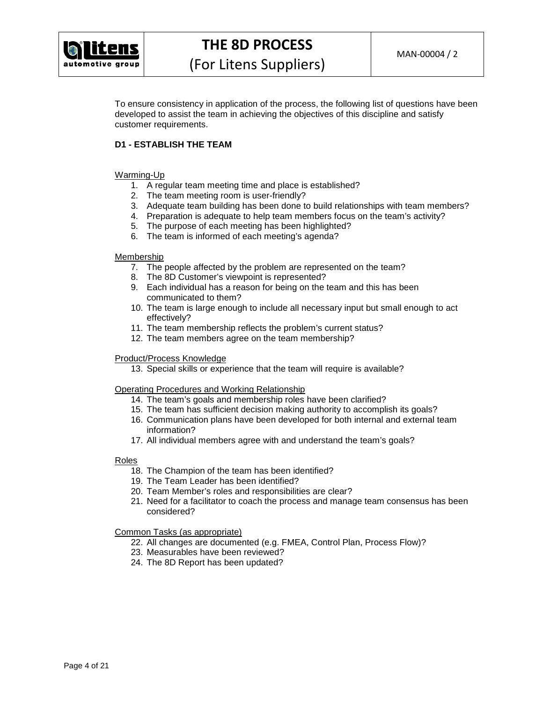

## **THE 8D PROCESS**

To ensure consistency in application of the process, the following list of questions have been developed to assist the team in achieving the objectives of this discipline and satisfy customer requirements.

## **D1 - ESTABLISH THE TEAM**

## Warming-Up

- 1. A regular team meeting time and place is established?
- 2. The team meeting room is user-friendly?
- 3. Adequate team building has been done to build relationships with team members?
- 4. Preparation is adequate to help team members focus on the team's activity?
- 5. The purpose of each meeting has been highlighted?
- 6. The team is informed of each meeting's agenda?

## Membership

- 7. The people affected by the problem are represented on the team?
- 8. The 8D Customer's viewpoint is represented?
- 9. Each individual has a reason for being on the team and this has been communicated to them?
- 10. The team is large enough to include all necessary input but small enough to act effectively?
- 11. The team membership reflects the problem's current status?
- 12. The team members agree on the team membership?

## Product/Process Knowledge

13. Special skills or experience that the team will require is available?

## Operating Procedures and Working Relationship

- 14. The team's goals and membership roles have been clarified?
- 15. The team has sufficient decision making authority to accomplish its goals?
- 16. Communication plans have been developed for both internal and external team information?
- 17. All individual members agree with and understand the team's goals?

## Roles

- 18. The Champion of the team has been identified?
- 19. The Team Leader has been identified?
- 20. Team Member's roles and responsibilities are clear?
- 21. Need for a facilitator to coach the process and manage team consensus has been considered?

- 22. All changes are documented (e.g. FMEA, Control Plan, Process Flow)?
- 23. Measurables have been reviewed?
- 24. The 8D Report has been updated?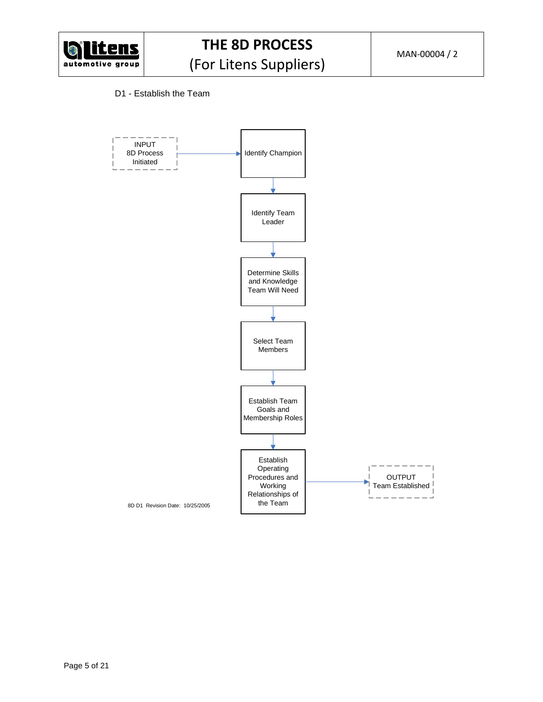

## D1 - Establish the Team

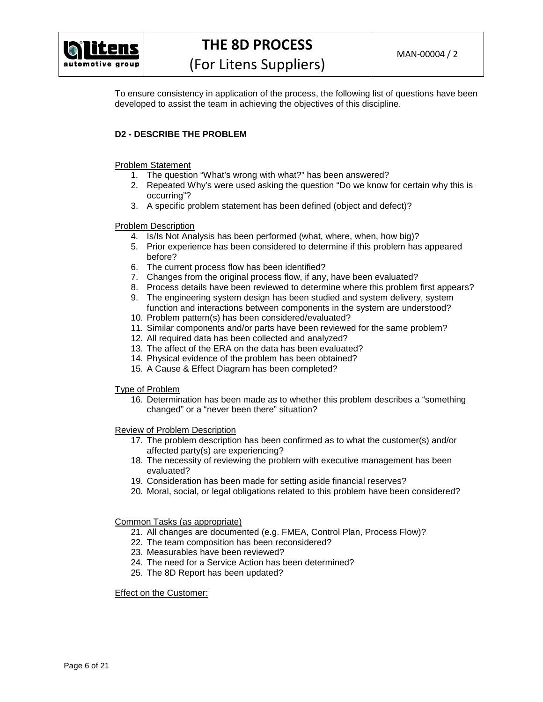

To ensure consistency in application of the process, the following list of questions have been developed to assist the team in achieving the objectives of this discipline.

## **D2 - DESCRIBE THE PROBLEM**

## Problem Statement

- 1. The question "What's wrong with what?" has been answered?
- 2. Repeated Why's were used asking the question "Do we know for certain why this is occurring"?
- 3. A specific problem statement has been defined (object and defect)?

## Problem Description

- 4. Is/Is Not Analysis has been performed (what, where, when, how big)?
- 5. Prior experience has been considered to determine if this problem has appeared before?
- 6. The current process flow has been identified?
- 7. Changes from the original process flow, if any, have been evaluated?
- 8. Process details have been reviewed to determine where this problem first appears?
- 9. The engineering system design has been studied and system delivery, system function and interactions between components in the system are understood?
- 10. Problem pattern(s) has been considered/evaluated?
- 11. Similar components and/or parts have been reviewed for the same problem?
- 12. All required data has been collected and analyzed?
- 13. The affect of the ERA on the data has been evaluated?
- 14. Physical evidence of the problem has been obtained?
- 15. A Cause & Effect Diagram has been completed?

## Type of Problem

16. Determination has been made as to whether this problem describes a "something changed" or a "never been there" situation?

Review of Problem Description

- 17. The problem description has been confirmed as to what the customer(s) and/or affected party(s) are experiencing?
- 18. The necessity of reviewing the problem with executive management has been evaluated?
- 19. Consideration has been made for setting aside financial reserves?
- 20. Moral, social, or legal obligations related to this problem have been considered?

Common Tasks (as appropriate)

- 21. All changes are documented (e.g. FMEA, Control Plan, Process Flow)?
- 22. The team composition has been reconsidered?
- 23. Measurables have been reviewed?
- 24. The need for a Service Action has been determined?
- 25. The 8D Report has been updated?

Effect on the Customer: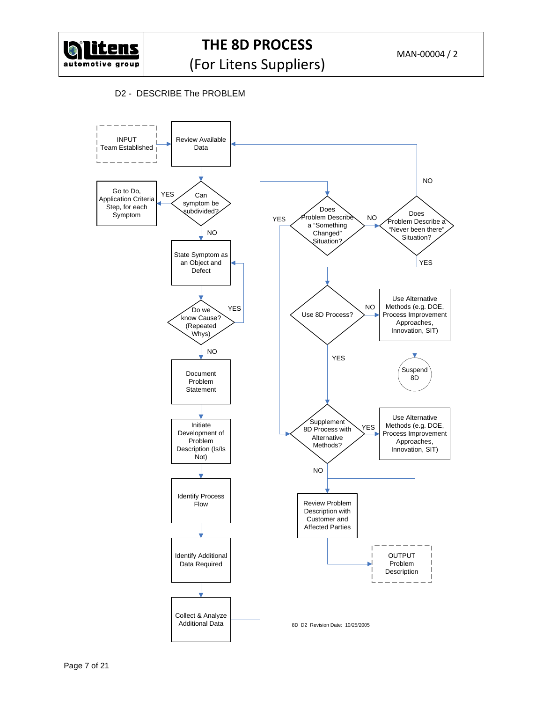

D2 - DESCRIBE The PROBLEM

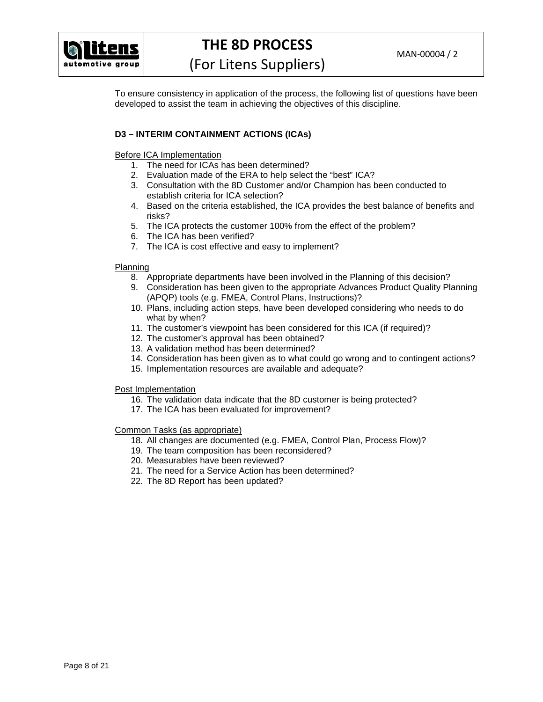

## **THE 8D PROCESS**

(For Litens Suppliers)

To ensure consistency in application of the process, the following list of questions have been developed to assist the team in achieving the objectives of this discipline.

## **D3 – INTERIM CONTAINMENT ACTIONS (ICAs)**

Before ICA Implementation

- 1. The need for ICAs has been determined?
- 2. Evaluation made of the ERA to help select the "best" ICA?
- 3. Consultation with the 8D Customer and/or Champion has been conducted to establish criteria for ICA selection?
- 4. Based on the criteria established, the ICA provides the best balance of benefits and risks?
- 5. The ICA protects the customer 100% from the effect of the problem?
- 6. The ICA has been verified?
- 7. The ICA is cost effective and easy to implement?

#### Planning

- 8. Appropriate departments have been involved in the Planning of this decision?
- 9. Consideration has been given to the appropriate Advances Product Quality Planning (APQP) tools (e.g. FMEA, Control Plans, Instructions)?
- 10. Plans, including action steps, have been developed considering who needs to do what by when?
- 11. The customer's viewpoint has been considered for this ICA (if required)?
- 12. The customer's approval has been obtained?
- 13. A validation method has been determined?
- 14. Consideration has been given as to what could go wrong and to contingent actions?
- 15. Implementation resources are available and adequate?

#### Post Implementation

- 16. The validation data indicate that the 8D customer is being protected?
- 17. The ICA has been evaluated for improvement?

- 18. All changes are documented (e.g. FMEA, Control Plan, Process Flow)?
- 19. The team composition has been reconsidered?
- 20. Measurables have been reviewed?
- 21. The need for a Service Action has been determined?
- 22. The 8D Report has been updated?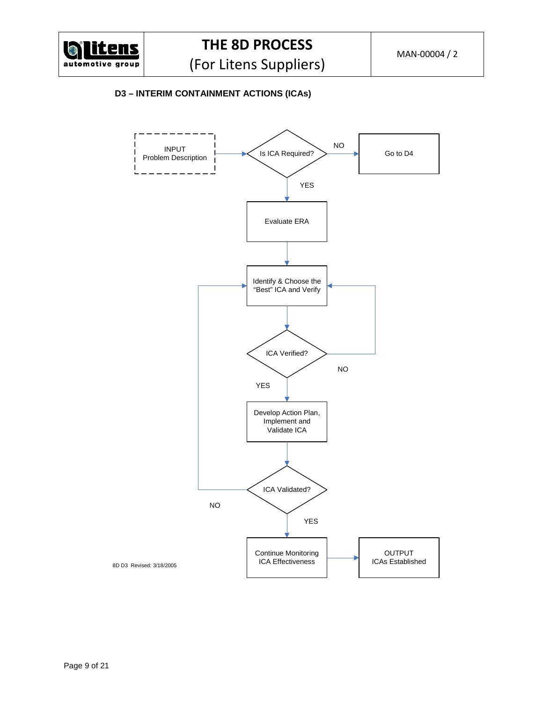

## **D3 – INTERIM CONTAINMENT ACTIONS (ICAs)**

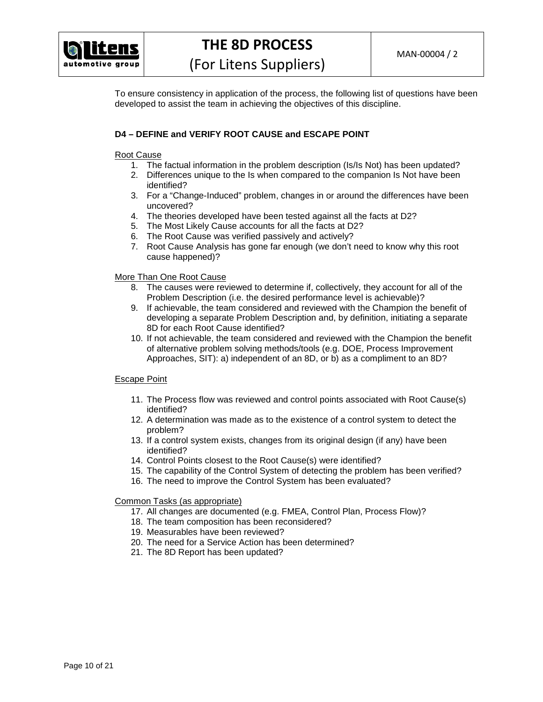

To ensure consistency in application of the process, the following list of questions have been developed to assist the team in achieving the objectives of this discipline.

## **D4 – DEFINE and VERIFY ROOT CAUSE and ESCAPE POINT**

## Root Cause

- 1. The factual information in the problem description (Is/Is Not) has been updated?
- 2. Differences unique to the Is when compared to the companion Is Not have been identified?
- 3. For a "Change-Induced" problem, changes in or around the differences have been uncovered?
- 4. The theories developed have been tested against all the facts at D2?
- 5. The Most Likely Cause accounts for all the facts at D2?
- 6. The Root Cause was verified passively and actively?
- 7. Root Cause Analysis has gone far enough (we don't need to know why this root cause happened)?

## More Than One Root Cause

- 8. The causes were reviewed to determine if, collectively, they account for all of the Problem Description (i.e. the desired performance level is achievable)?
- 9. If achievable, the team considered and reviewed with the Champion the benefit of developing a separate Problem Description and, by definition, initiating a separate 8D for each Root Cause identified?
- 10. If not achievable, the team considered and reviewed with the Champion the benefit of alternative problem solving methods/tools (e.g. DOE, Process Improvement Approaches, SIT): a) independent of an 8D, or b) as a compliment to an 8D?

## Escape Point

- 11. The Process flow was reviewed and control points associated with Root Cause(s) identified?
- 12. A determination was made as to the existence of a control system to detect the problem?
- 13. If a control system exists, changes from its original design (if any) have been identified?
- 14. Control Points closest to the Root Cause(s) were identified?
- 15. The capability of the Control System of detecting the problem has been verified?
- 16. The need to improve the Control System has been evaluated?

- 17. All changes are documented (e.g. FMEA, Control Plan, Process Flow)?
- 18. The team composition has been reconsidered?
- 19. Measurables have been reviewed?
- 20. The need for a Service Action has been determined?
- 21. The 8D Report has been updated?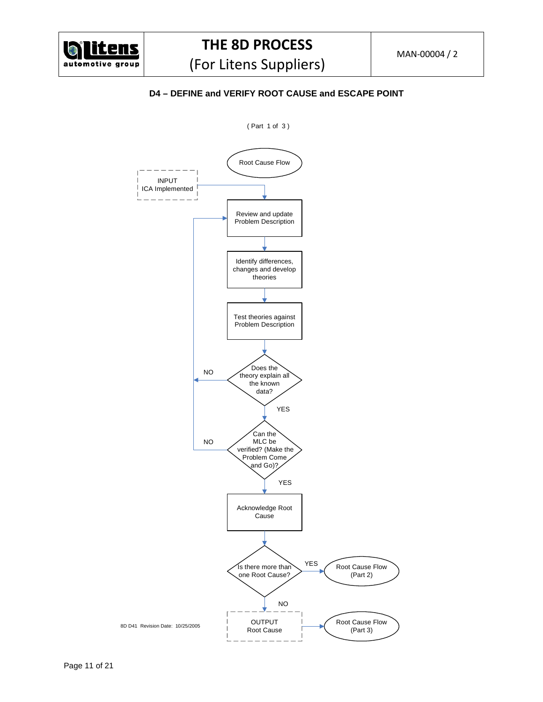

**D4 – DEFINE and VERIFY ROOT CAUSE and ESCAPE POINT** 

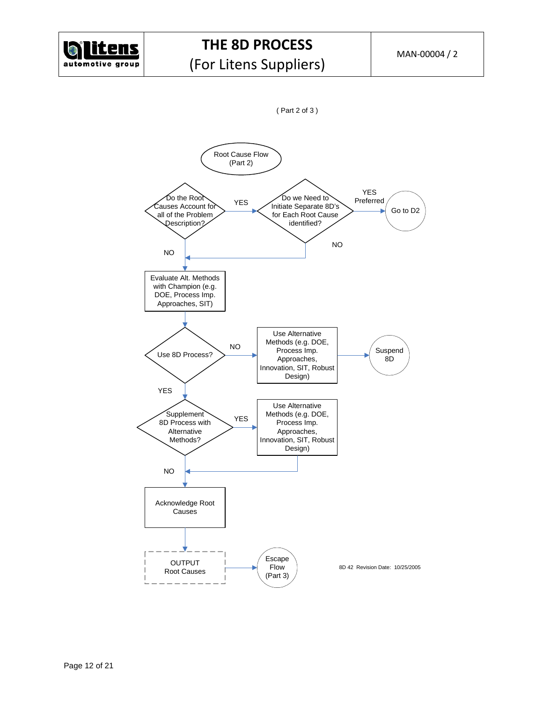



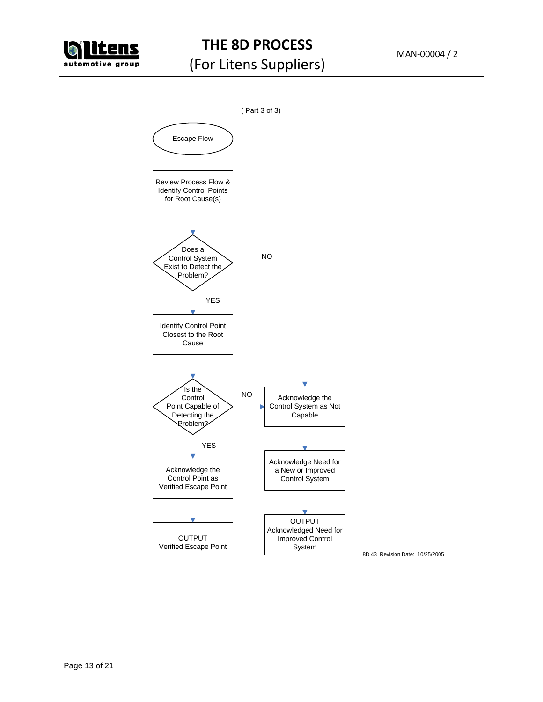

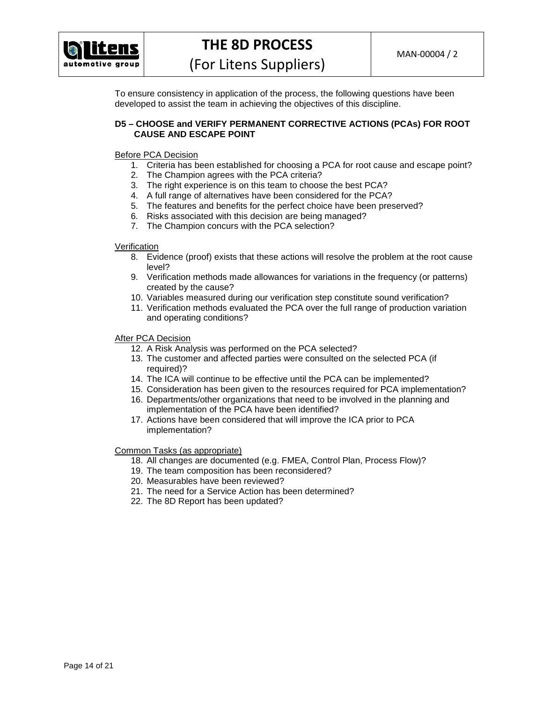

To ensure consistency in application of the process, the following questions have been developed to assist the team in achieving the objectives of this discipline.

## **D5 – CHOOSE and VERIFY PERMANENT CORRECTIVE ACTIONS (PCAs) FOR ROOT CAUSE AND ESCAPE POINT**

Before PCA Decision

- 1. Criteria has been established for choosing a PCA for root cause and escape point?
- 2. The Champion agrees with the PCA criteria?
- 3. The right experience is on this team to choose the best PCA?
- 4. A full range of alternatives have been considered for the PCA?
- 5. The features and benefits for the perfect choice have been preserved?
- 6. Risks associated with this decision are being managed?
- 7. The Champion concurs with the PCA selection?

Verification

- 8. Evidence (proof) exists that these actions will resolve the problem at the root cause level?
- 9. Verification methods made allowances for variations in the frequency (or patterns) created by the cause?
- 10. Variables measured during our verification step constitute sound verification?
- 11. Verification methods evaluated the PCA over the full range of production variation and operating conditions?

After PCA Decision

- 12. A Risk Analysis was performed on the PCA selected?
- 13. The customer and affected parties were consulted on the selected PCA (if required)?
- 14. The ICA will continue to be effective until the PCA can be implemented?
- 15. Consideration has been given to the resources required for PCA implementation?
- 16. Departments/other organizations that need to be involved in the planning and implementation of the PCA have been identified?
- 17. Actions have been considered that will improve the ICA prior to PCA implementation?

- 18. All changes are documented (e.g. FMEA, Control Plan, Process Flow)?
- 19. The team composition has been reconsidered?
- 20. Measurables have been reviewed?
- 21. The need for a Service Action has been determined?
- 22. The 8D Report has been updated?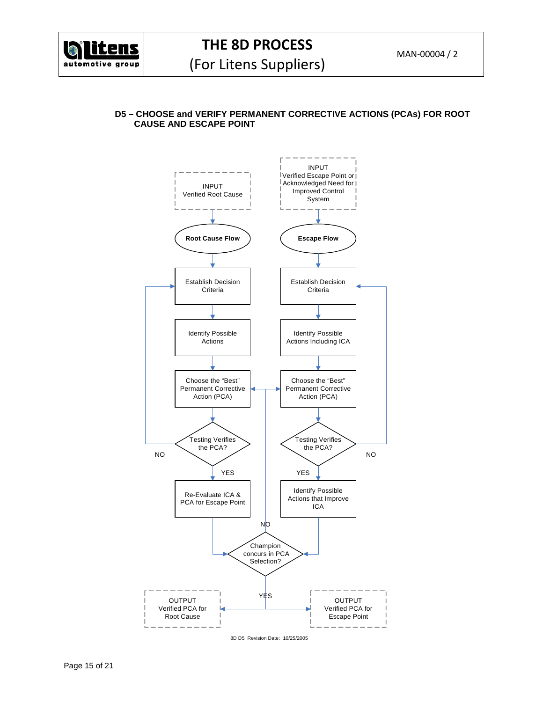

## **D5 – CHOOSE and VERIFY PERMANENT CORRECTIVE ACTIONS (PCAs) FOR ROOT CAUSE AND ESCAPE POINT**



8D D5 Revision Date: 10/25/2005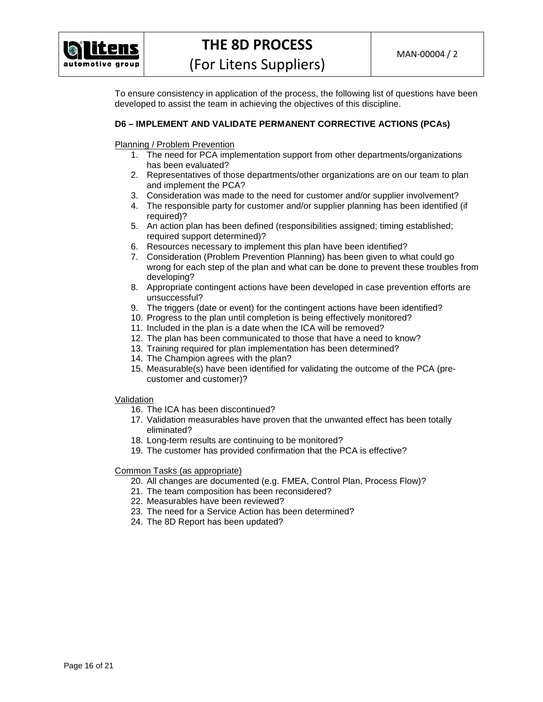

To ensure consistency in application of the process, the following list of questions have been developed to assist the team in achieving the objectives of this discipline.

## **D6 – IMPLEMENT AND VALIDATE PERMANENT CORRECTIVE ACTIONS (PCAs)**

Planning / Problem Prevention

- 1. The need for PCA implementation support from other departments/organizations has been evaluated?
- 2. Representatives of those departments/other organizations are on our team to plan and implement the PCA?
- 3. Consideration was made to the need for customer and/or supplier involvement?
- 4. The responsible party for customer and/or supplier planning has been identified (if required)?
- 5. An action plan has been defined (responsibilities assigned; timing established; required support determined)?
- 6. Resources necessary to implement this plan have been identified?
- 7. Consideration (Problem Prevention Planning) has been given to what could go wrong for each step of the plan and what can be done to prevent these troubles from developing?
- 8. Appropriate contingent actions have been developed in case prevention efforts are unsuccessful?
- 9. The triggers (date or event) for the contingent actions have been identified?
- 10. Progress to the plan until completion is being effectively monitored?
- 11. Included in the plan is a date when the ICA will be removed?
- 12. The plan has been communicated to those that have a need to know?
- 13. Training required for plan implementation has been determined?
- 14. The Champion agrees with the plan?
- 15. Measurable(s) have been identified for validating the outcome of the PCA (precustomer and customer)?

## Validation

- 16. The ICA has been discontinued?
- 17. Validation measurables have proven that the unwanted effect has been totally eliminated?
- 18. Long-term results are continuing to be monitored?
- 19. The customer has provided confirmation that the PCA is effective?

- 20. All changes are documented (e.g. FMEA, Control Plan, Process Flow)?
- 21. The team composition has been reconsidered?
- 22. Measurables have been reviewed?
- 23. The need for a Service Action has been determined?
- 24. The 8D Report has been updated?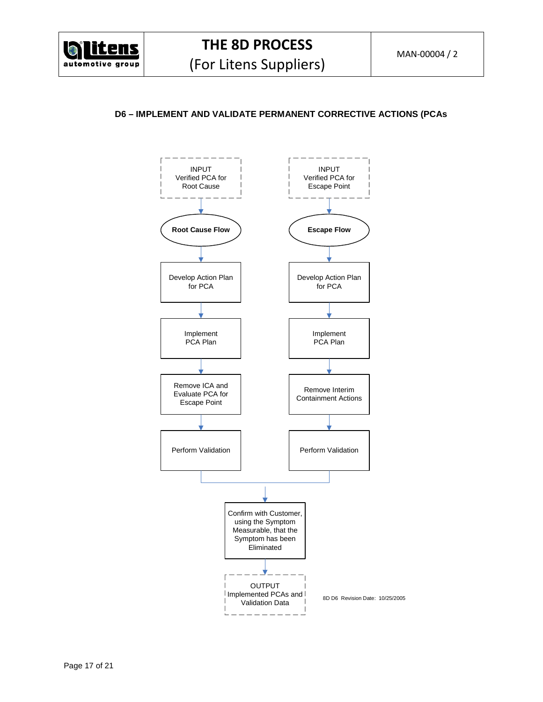

## **D6 – IMPLEMENT AND VALIDATE PERMANENT CORRECTIVE ACTIONS (PCAs**

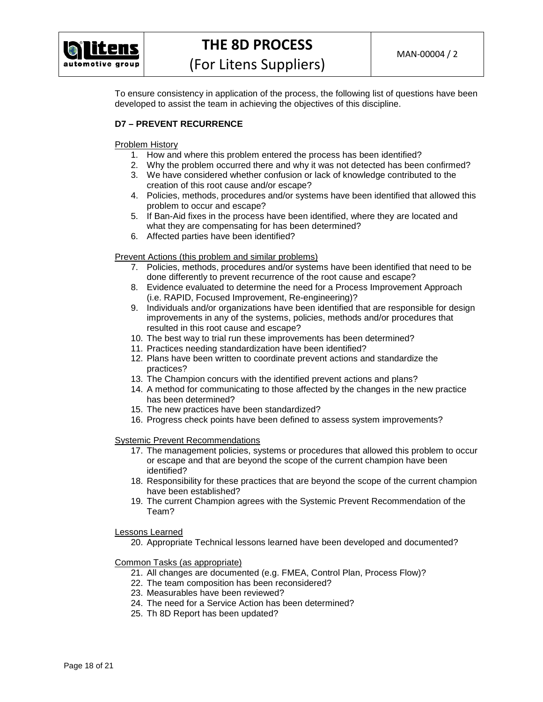

To ensure consistency in application of the process, the following list of questions have been developed to assist the team in achieving the objectives of this discipline.

## **D7 – PREVENT RECURRENCE**

## Problem History

- 1. How and where this problem entered the process has been identified?
- 2. Why the problem occurred there and why it was not detected has been confirmed?
- 3. We have considered whether confusion or lack of knowledge contributed to the creation of this root cause and/or escape?
- 4. Policies, methods, procedures and/or systems have been identified that allowed this problem to occur and escape?
- 5. If Ban-Aid fixes in the process have been identified, where they are located and what they are compensating for has been determined?
- 6. Affected parties have been identified?

## Prevent Actions (this problem and similar problems)

- 7. Policies, methods, procedures and/or systems have been identified that need to be done differently to prevent recurrence of the root cause and escape?
- 8. Evidence evaluated to determine the need for a Process Improvement Approach (i.e. RAPID, Focused Improvement, Re-engineering)?
- 9. Individuals and/or organizations have been identified that are responsible for design improvements in any of the systems, policies, methods and/or procedures that resulted in this root cause and escape?
- 10. The best way to trial run these improvements has been determined?
- 11. Practices needing standardization have been identified?
- 12. Plans have been written to coordinate prevent actions and standardize the practices?
- 13. The Champion concurs with the identified prevent actions and plans?
- 14. A method for communicating to those affected by the changes in the new practice has been determined?
- 15. The new practices have been standardized?
- 16. Progress check points have been defined to assess system improvements?

## Systemic Prevent Recommendations

- 17. The management policies, systems or procedures that allowed this problem to occur or escape and that are beyond the scope of the current champion have been identified?
- 18. Responsibility for these practices that are beyond the scope of the current champion have been established?
- 19. The current Champion agrees with the Systemic Prevent Recommendation of the Team?

## Lessons Learned

20. Appropriate Technical lessons learned have been developed and documented?

- 21. All changes are documented (e.g. FMEA, Control Plan, Process Flow)?
- 22. The team composition has been reconsidered?
- 23. Measurables have been reviewed?
- 24. The need for a Service Action has been determined?
- 25. Th 8D Report has been updated?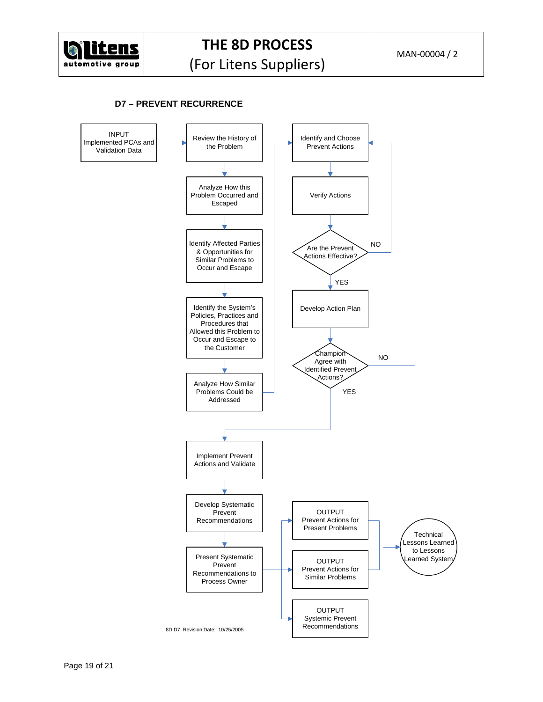

## **D7 – PREVENT RECURRENCE**

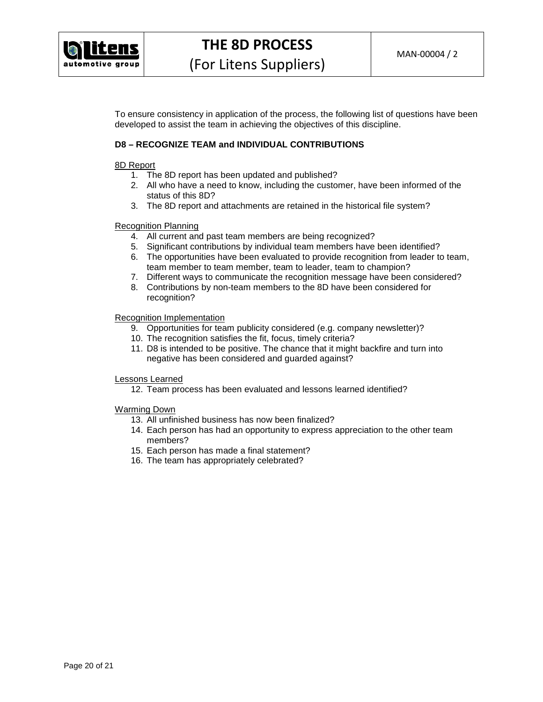

To ensure consistency in application of the process, the following list of questions have been developed to assist the team in achieving the objectives of this discipline.

## **D8 – RECOGNIZE TEAM and INDIVIDUAL CONTRIBUTIONS**

#### 8D Report

- 1. The 8D report has been updated and published?
- 2. All who have a need to know, including the customer, have been informed of the status of this 8D?
- 3. The 8D report and attachments are retained in the historical file system?

#### Recognition Planning

- 4. All current and past team members are being recognized?
- 5. Significant contributions by individual team members have been identified?
- 6. The opportunities have been evaluated to provide recognition from leader to team, team member to team member, team to leader, team to champion?
- 7. Different ways to communicate the recognition message have been considered?
- 8. Contributions by non-team members to the 8D have been considered for recognition?

#### Recognition Implementation

- 9. Opportunities for team publicity considered (e.g. company newsletter)?
- 10. The recognition satisfies the fit, focus, timely criteria?
- 11. D8 is intended to be positive. The chance that it might backfire and turn into negative has been considered and guarded against?

## Lessons Learned

12. Team process has been evaluated and lessons learned identified?

## Warming Down

- 13. All unfinished business has now been finalized?
- 14. Each person has had an opportunity to express appreciation to the other team members?
- 15. Each person has made a final statement?
- 16. The team has appropriately celebrated?